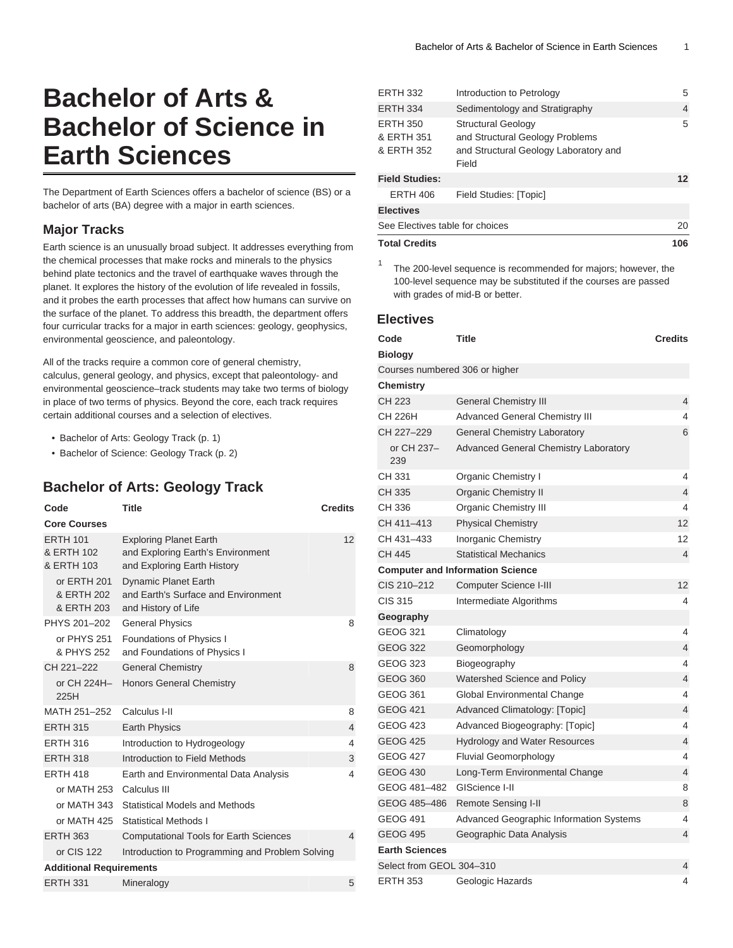# **Bachelor of Arts & Bachelor of Science in Earth Sciences**

The Department of Earth Sciences offers a bachelor of science (BS) or a bachelor of arts (BA) degree with a major in earth sciences.

#### **Major Tracks**

Earth science is an unusually broad subject. It addresses everything from the chemical processes that make rocks and minerals to the physics behind plate tectonics and the travel of earthquake waves through the planet. It explores the history of the evolution of life revealed in fossils, and it probes the earth processes that affect how humans can survive on the surface of the planet. To address this breadth, the department offers four curricular tracks for a major in earth sciences: geology, geophysics, environmental geoscience, and paleontology.

All of the tracks require a common core of general chemistry, calculus, general geology, and physics, except that paleontology- and environmental geoscience–track students may take two terms of biology in place of two terms of physics. Beyond the core, each track requires certain additional courses and a selection of electives.

- [Bachelor of Arts: Geology Track](#page-0-0) [\(p. 1\)](#page-0-0)
- <span id="page-0-0"></span>• [Bachelor of Science: Geology Track \(p. 2\)](#page-1-0)

## **Bachelor of Arts: Geology Track**

| Code                                        | <b>Title</b>                                                                                      | <b>Credits</b> |
|---------------------------------------------|---------------------------------------------------------------------------------------------------|----------------|
| <b>Core Courses</b>                         |                                                                                                   |                |
| <b>ERTH 101</b><br>& ERTH 102<br>& ERTH 103 | <b>Exploring Planet Earth</b><br>and Exploring Earth's Environment<br>and Exploring Earth History | 12             |
| or ERTH 201<br>& ERTH 202<br>& ERTH 203     | <b>Dynamic Planet Earth</b><br>and Earth's Surface and Environment<br>and History of Life         |                |
| PHYS 201-202                                | <b>General Physics</b>                                                                            | 8              |
| or PHYS 251<br>& PHYS 252                   | Foundations of Physics I<br>and Foundations of Physics I                                          |                |
| CH 221-222                                  | <b>General Chemistry</b>                                                                          | 8              |
| or CH 224H-<br>225H                         | <b>Honors General Chemistry</b>                                                                   |                |
| MATH 251-252                                | Calculus I-II                                                                                     | 8              |
| <b>ERTH 315</b>                             | <b>Earth Physics</b>                                                                              | 4              |
| <b>FRTH 316</b>                             | Introduction to Hydrogeology                                                                      | 4              |
| <b>ERTH 318</b>                             | Introduction to Field Methods                                                                     | 3              |
| <b>ERTH 418</b>                             | Earth and Environmental Data Analysis                                                             | 4              |
| or MATH 253                                 | Calculus III                                                                                      |                |
| or MATH 343                                 | Statistical Models and Methods                                                                    |                |
| or MATH 425                                 | Statistical Methods I                                                                             |                |
| <b>ERTH 363</b>                             | <b>Computational Tools for Earth Sciences</b>                                                     | 4              |
| or CIS 122                                  | Introduction to Programming and Problem Solving                                                   |                |
| <b>Additional Requirements</b>              |                                                                                                   |                |
| <b>ERTH 331</b>                             | Mineralogy                                                                                        | 5              |

| <b>Total Credits</b>            |                                       | 106     |
|---------------------------------|---------------------------------------|---------|
| See Electives table for choices |                                       | 20      |
| <b>Electives</b>                |                                       |         |
| <b>ERTH 406</b>                 | Field Studies: [Topic]                |         |
| <b>Field Studies:</b>           |                                       | $12 \,$ |
|                                 | Field                                 |         |
| & ERTH 352                      | and Structural Geology Laboratory and |         |
| & ERTH 351                      | and Structural Geology Problems       |         |
| <b>ERTH 350</b>                 | <b>Structural Geology</b>             | 5       |
| <b>ERTH 334</b>                 | Sedimentology and Stratigraphy        | 4       |
| ER I FI JJZ                     | <b>INTERNATIONAL INTERNATIONAL</b>    | O       |

ERTH 332 Introduction to Petrology 5

The 200-level sequence is recommended for majors; however, the 100-level sequence may be substituted if the courses are passed with grades of mid-B or better.

#### **Electives**

1

| Code                           | Title                                        | <b>Credits</b> |
|--------------------------------|----------------------------------------------|----------------|
| <b>Biology</b>                 |                                              |                |
| Courses numbered 306 or higher |                                              |                |
| <b>Chemistry</b>               |                                              |                |
| CH 223                         | <b>General Chemistry III</b>                 | 4              |
| CH 226H                        | <b>Advanced General Chemistry III</b>        | 4              |
| CH 227-229                     | <b>General Chemistry Laboratory</b>          | 6              |
| or CH 237-<br>239              | <b>Advanced General Chemistry Laboratory</b> |                |
| CH 331                         | Organic Chemistry I                          | 4              |
| CH 335                         | Organic Chemistry II                         | 4              |
| CH 336                         | <b>Organic Chemistry III</b>                 | 4              |
| CH 411-413                     | <b>Physical Chemistry</b>                    | 12             |
| CH 431–433                     | Inorganic Chemistry                          | 12             |
| CH 445                         | <b>Statistical Mechanics</b>                 | 4              |
|                                | <b>Computer and Information Science</b>      |                |
| CIS 210-212                    | Computer Science I-III                       | 12             |
| <b>CIS 315</b>                 | Intermediate Algorithms                      | 4              |
| Geography                      |                                              |                |
| <b>GEOG 321</b>                | Climatology                                  | 4              |
| <b>GEOG 322</b>                | Geomorphology                                | 4              |
| <b>GEOG 323</b>                | Biogeography                                 | 4              |
| <b>GEOG 360</b>                | Watershed Science and Policy                 | 4              |
| <b>GEOG 361</b>                | Global Environmental Change                  | 4              |
| <b>GEOG 421</b>                | Advanced Climatology: [Topic]                | 4              |
| <b>GEOG 423</b>                | Advanced Biogeography: [Topic]               | 4              |
| <b>GEOG 425</b>                | <b>Hydrology and Water Resources</b>         | 4              |
| <b>GEOG 427</b>                | <b>Fluvial Geomorphology</b>                 | 4              |
| <b>GEOG 430</b>                | Long-Term Environmental Change               | 4              |
| GEOG 481-482                   | GIScience I-II                               | 8              |
| GEOG 485-486                   | Remote Sensing I-II                          | 8              |
| GEOG 491                       | Advanced Geographic Information Systems      | 4              |
| <b>GEOG 495</b>                | Geographic Data Analysis                     | 4              |
| <b>Earth Sciences</b>          |                                              |                |
| Select from GEOL 304-310       |                                              | 4              |
| <b>ERTH 353</b>                | Geologic Hazards                             | 4              |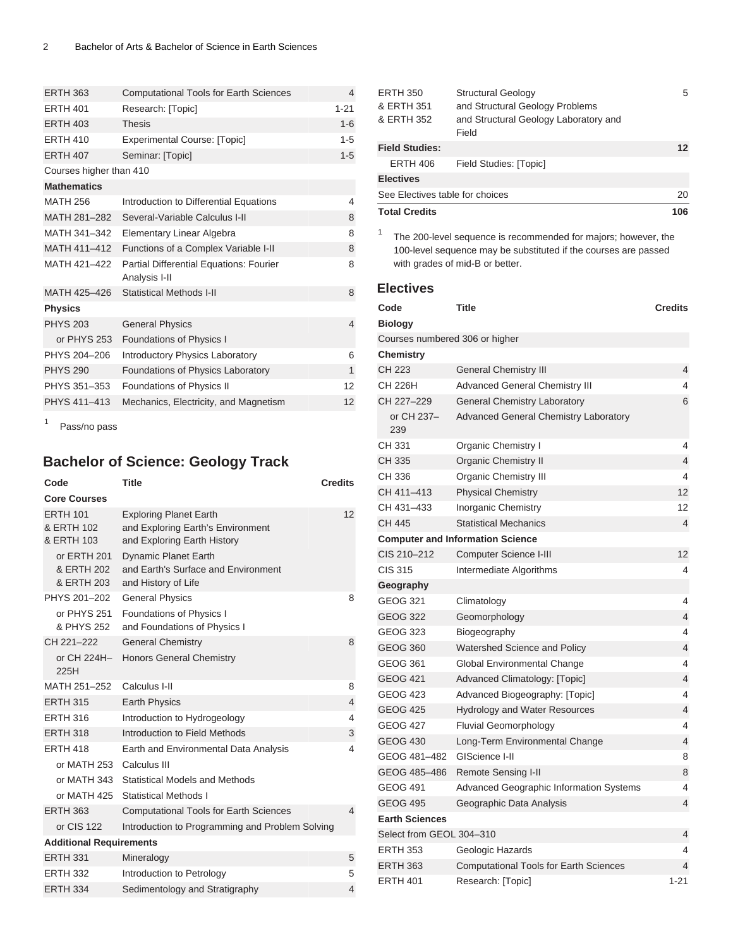| <b>ERTH 363</b>         | <b>Computational Tools for Earth Sciences</b>            | 4              |
|-------------------------|----------------------------------------------------------|----------------|
| <b>ERTH 401</b>         | Research: [Topic]                                        | $1 - 21$       |
| <b>ERTH 403</b>         | <b>Thesis</b>                                            | $1 - 6$        |
| <b>FRTH 410</b>         | <b>Experimental Course: [Topic]</b>                      | $1 - 5$        |
| <b>ERTH 407</b>         | Seminar: [Topic]                                         | $1 - 5$        |
| Courses higher than 410 |                                                          |                |
| <b>Mathematics</b>      |                                                          |                |
| <b>MATH 256</b>         | Introduction to Differential Equations                   | 4              |
| MATH 281-282            | Several-Variable Calculus I-II                           | 8              |
| MATH 341-342            | Elementary Linear Algebra                                | 8              |
| MATH 411-412            | Functions of a Complex Variable I-II                     | 8              |
| MATH 421-422            | Partial Differential Equations: Fourier<br>Analysis I-II | 8              |
| MATH 425-426            | <b>Statistical Methods I-II</b>                          | 8              |
| <b>Physics</b>          |                                                          |                |
| <b>PHYS 203</b>         | <b>General Physics</b>                                   | $\overline{4}$ |
| or PHYS 253             | Foundations of Physics I                                 |                |
| PHYS 204-206            | <b>Introductory Physics Laboratory</b>                   | 6              |
| <b>PHYS 290</b>         | Foundations of Physics Laboratory                        | $\mathbf{1}$   |
| PHYS 351-353            | Foundations of Physics II                                | 12             |
| PHYS 411-413            | Mechanics, Electricity, and Magnetism                    | 12             |
|                         |                                                          |                |

<span id="page-1-0"></span>1 Pass/no pass

# **Bachelor of Science: Geology Track**

| Code                                        | Title                                                                                             | <b>Credits</b> |
|---------------------------------------------|---------------------------------------------------------------------------------------------------|----------------|
| <b>Core Courses</b>                         |                                                                                                   |                |
| <b>ERTH 101</b><br>& ERTH 102<br>& ERTH 103 | <b>Exploring Planet Earth</b><br>and Exploring Earth's Environment<br>and Exploring Earth History | 12             |
| or ERTH 201<br>& ERTH 202<br>& ERTH 203     | <b>Dynamic Planet Earth</b><br>and Earth's Surface and Environment<br>and History of Life         |                |
| PHYS 201-202                                | <b>General Physics</b>                                                                            | 8              |
| or PHYS 251<br>& PHYS 252                   | Foundations of Physics I<br>and Foundations of Physics I                                          |                |
| CH 221-222                                  | <b>General Chemistry</b>                                                                          | 8              |
| or CH 224H-<br>225H                         | <b>Honors General Chemistry</b>                                                                   |                |
| MATH 251-252                                | Calculus I-II                                                                                     | 8              |
| <b>ERTH 315</b>                             | <b>Earth Physics</b>                                                                              | $\overline{4}$ |
| <b>ERTH 316</b>                             | Introduction to Hydrogeology                                                                      | 4              |
| <b>ERTH 318</b>                             | Introduction to Field Methods                                                                     | 3              |
| <b>FRTH 418</b>                             | Earth and Environmental Data Analysis                                                             | 4              |
| or MATH 253 Calculus III                    |                                                                                                   |                |
| or MATH 343                                 | <b>Statistical Models and Methods</b>                                                             |                |
| or MATH 425                                 | <b>Statistical Methods I</b>                                                                      |                |
| <b>ERTH 363</b>                             | <b>Computational Tools for Earth Sciences</b>                                                     | 4              |
| or CIS 122                                  | Introduction to Programming and Problem Solving                                                   |                |
| <b>Additional Requirements</b>              |                                                                                                   |                |
| <b>ERTH 331</b>                             | Mineralogy                                                                                        | 5              |
| <b>ERTH 332</b>                             | Introduction to Petrology                                                                         | 5              |
| <b>ERTH 334</b>                             | Sedimentology and Stratigraphy                                                                    | 4              |

<sup>1</sup> The 200-level sequence is recommended for majors; however, the 100-level sequence may be substituted if the courses are passed with grades of mid-B or better.

#### **Electives**

| Code                           | Title                                         | <b>Credits</b> |  |
|--------------------------------|-----------------------------------------------|----------------|--|
| <b>Biology</b>                 |                                               |                |  |
| Courses numbered 306 or higher |                                               |                |  |
| <b>Chemistry</b>               |                                               |                |  |
| CH 223                         | <b>General Chemistry III</b>                  | 4              |  |
| CH 226H                        | Advanced General Chemistry III                | 4              |  |
| CH 227-229                     | <b>General Chemistry Laboratory</b>           | 6              |  |
| or CH 237-<br>239              | Advanced General Chemistry Laboratory         |                |  |
| CH 331                         | Organic Chemistry I                           | 4              |  |
| CH 335                         | <b>Organic Chemistry II</b>                   | $\overline{4}$ |  |
| CH 336                         | <b>Organic Chemistry III</b>                  | 4              |  |
| CH 411-413                     | <b>Physical Chemistry</b>                     | 12             |  |
| CH 431-433                     | <b>Inorganic Chemistry</b>                    | 12             |  |
| CH 445                         | <b>Statistical Mechanics</b>                  | 4              |  |
|                                | <b>Computer and Information Science</b>       |                |  |
| CIS 210-212                    | Computer Science I-III                        | 12             |  |
| <b>CIS 315</b>                 | Intermediate Algorithms                       | 4              |  |
| Geography                      |                                               |                |  |
| <b>GEOG 321</b>                | Climatology                                   | 4              |  |
| <b>GEOG 322</b>                | Geomorphology                                 | $\overline{4}$ |  |
| <b>GEOG 323</b>                | Biogeography                                  | 4              |  |
| <b>GEOG 360</b>                | Watershed Science and Policy                  | 4              |  |
| <b>GEOG 361</b>                | Global Environmental Change                   | 4              |  |
| <b>GEOG 421</b>                | Advanced Climatology: [Topic]                 | 4              |  |
| <b>GEOG 423</b>                | Advanced Biogeography: [Topic]                | 4              |  |
| <b>GEOG 425</b>                | <b>Hydrology and Water Resources</b>          | $\overline{4}$ |  |
| <b>GEOG 427</b>                | <b>Fluvial Geomorphology</b>                  | 4              |  |
| <b>GEOG 430</b>                | Long-Term Environmental Change                | 4              |  |
| GEOG 481-482                   | GIScience I-II                                | 8              |  |
| GEOG 485-486                   | <b>Remote Sensing I-II</b>                    | 8              |  |
| <b>GEOG 491</b>                | Advanced Geographic Information Systems       | 4              |  |
| <b>GEOG 495</b>                | Geographic Data Analysis                      | 4              |  |
| <b>Earth Sciences</b>          |                                               |                |  |
| Select from GEOL 304-310       |                                               | 4              |  |
| <b>ERTH 353</b>                | Geologic Hazards                              | 4              |  |
| <b>ERTH 363</b>                | <b>Computational Tools for Earth Sciences</b> | 4              |  |
| <b>ERTH 401</b>                | Research: [Topic]                             | $1 - 21$       |  |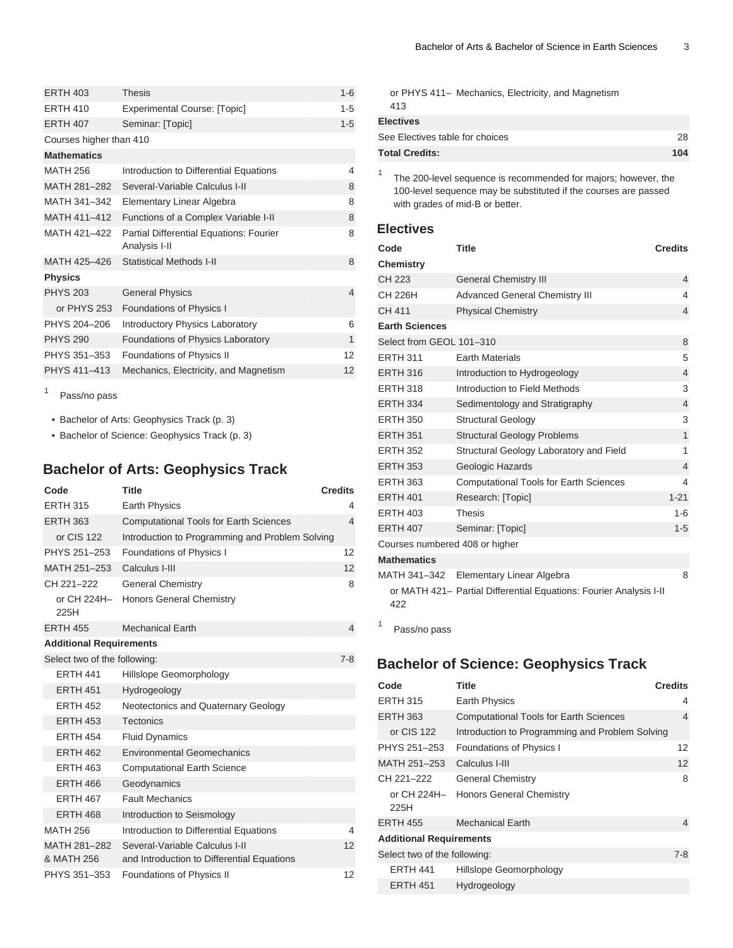| <b>ERTH 403</b>               | <b>Thesis</b>                                            | $1 - 6$ |
|-------------------------------|----------------------------------------------------------|---------|
| <b>ERTH 410</b>               | <b>Experimental Course: [Topic]</b>                      | $1 - 5$ |
| <b>ERTH 407</b>               | Seminar: [Topic]                                         | $1 - 5$ |
| Courses higher than 410       |                                                          |         |
| <b>Mathematics</b>            |                                                          |         |
| <b>MATH 256</b>               | Introduction to Differential Equations                   | 4       |
| MATH 281-282                  | Several-Variable Calculus I-II                           | 8       |
| MATH 341-342                  | Elementary Linear Algebra                                | 8       |
| MATH 411-412                  | Functions of a Complex Variable I-II                     | 8       |
| MATH 421-422                  | Partial Differential Equations: Fourier<br>Analysis I-II | 8       |
| MATH 425-426                  | <b>Statistical Methods I-II</b>                          | 8       |
| <b>Physics</b>                |                                                          |         |
| <b>PHYS 203</b>               | <b>General Physics</b>                                   | 4       |
| or PHYS 253                   | Foundations of Physics I                                 |         |
| PHYS 204-206                  | Introductory Physics Laboratory                          | 6       |
| <b>PHYS 290</b>               | Foundations of Physics Laboratory                        | 1       |
| PHYS 351-353                  | Foundations of Physics II                                | 12      |
| PHYS 411-413                  | Mechanics, Electricity, and Magnetism                    | 12      |
| 1<br>$D - - - \sqrt{2} - - -$ |                                                          |         |

Pass/no pass

• [Bachelor of Arts: Geophysics Track](#page-2-0) [\(p. 3\)](#page-2-0)

<span id="page-2-0"></span>• [Bachelor of Science: Geophysics Track \(p. 3\)](#page-2-1)

# **Bachelor of Arts: Geophysics Track**

| Code                           | <b>Title</b>                                                                 | <b>Credits</b>           |
|--------------------------------|------------------------------------------------------------------------------|--------------------------|
| <b>ERTH 315</b>                | Earth Physics                                                                | 4                        |
| <b>ERTH 363</b>                | <b>Computational Tools for Earth Sciences</b>                                | 4                        |
| or CIS 122                     | Introduction to Programming and Problem Solving                              |                          |
| PHYS 251-253                   | Foundations of Physics I                                                     | 12                       |
| MATH 251-253                   | Calculus I-III                                                               | 12                       |
| CH 221-222                     | <b>General Chemistry</b>                                                     | 8                        |
| or CH 224H-<br>225H            | <b>Honors General Chemistry</b>                                              |                          |
| <b>ERTH 455</b>                | <b>Mechanical Earth</b>                                                      | $\overline{4}$           |
| <b>Additional Requirements</b> |                                                                              |                          |
| Select two of the following:   |                                                                              | $7 - 8$                  |
| <b>FRTH 441</b>                | Hillslope Geomorphology                                                      |                          |
| <b>ERTH 451</b>                | Hydrogeology                                                                 |                          |
| <b>ERTH 452</b>                | Neotectonics and Quaternary Geology                                          |                          |
| <b>ERTH 453</b>                | <b>Tectonics</b>                                                             |                          |
| <b>ERTH 454</b>                | <b>Fluid Dynamics</b>                                                        |                          |
| <b>ERTH 462</b>                | <b>Environmental Geomechanics</b>                                            |                          |
| <b>ERTH 463</b>                | <b>Computational Earth Science</b>                                           |                          |
| <b>ERTH 466</b>                | Geodynamics                                                                  |                          |
| <b>ERTH 467</b>                | <b>Fault Mechanics</b>                                                       |                          |
| <b>ERTH 468</b>                | Introduction to Seismology                                                   |                          |
| <b>MATH 256</b>                | Introduction to Differential Equations                                       | $\overline{\mathcal{L}}$ |
| MATH 281-282<br>& MATH 256     | Several-Variable Calculus I-II<br>and Introduction to Differential Equations | 12                       |
| PHYS 351-353                   | Foundations of Physics II                                                    | 12                       |

or PHYS 411– Mechanics, Electricity, and Magnetism 413

| <b>Electives</b><br>See Electives table for choices | 28  |
|-----------------------------------------------------|-----|
| <b>Total Credits:</b>                               |     |
|                                                     | 104 |

1 The 200-level sequence is recommended for majors; however, the 100-level sequence may be substituted if the courses are passed with grades of mid-B or better.

#### **Electives**

| Code                           | <b>Title</b>                                                       | <b>Credits</b> |
|--------------------------------|--------------------------------------------------------------------|----------------|
| <b>Chemistry</b>               |                                                                    |                |
| CH 223                         | <b>General Chemistry III</b>                                       | $\overline{4}$ |
| CH 226H                        | <b>Advanced General Chemistry III</b>                              | $\overline{4}$ |
| CH 411                         | <b>Physical Chemistry</b>                                          | $\overline{4}$ |
| <b>Earth Sciences</b>          |                                                                    |                |
| Select from GEOL 101-310       |                                                                    | 8              |
| <b>ERTH 311</b>                | <b>Earth Materials</b>                                             | 5              |
| <b>ERTH 316</b>                | Introduction to Hydrogeology                                       | $\overline{4}$ |
| <b>ERTH 318</b>                | Introduction to Field Methods                                      | 3              |
| <b>ERTH 334</b>                | Sedimentology and Stratigraphy                                     | $\overline{4}$ |
| <b>ERTH 350</b>                | <b>Structural Geology</b>                                          | 3              |
| <b>ERTH 351</b>                | <b>Structural Geology Problems</b>                                 | $\mathbf{1}$   |
| <b>ERTH 352</b>                | Structural Geology Laboratory and Field                            | 1              |
| <b>ERTH 353</b>                | Geologic Hazards                                                   | $\overline{4}$ |
| <b>ERTH 363</b>                | <b>Computational Tools for Earth Sciences</b>                      | 4              |
| <b>ERTH 401</b>                | Research: [Topic]                                                  | $1 - 21$       |
| <b>ERTH 403</b>                | <b>Thesis</b>                                                      | $1 - 6$        |
| <b>ERTH 407</b>                | Seminar: [Topic]                                                   | $1 - 5$        |
| Courses numbered 408 or higher |                                                                    |                |
| <b>Mathematics</b>             |                                                                    |                |
|                                | MATH 341-342 Elementary Linear Algebra                             | 8              |
| 422                            | or MATH 421- Partial Differential Equations: Fourier Analysis I-II |                |
| 1<br>$D = -1$                  |                                                                    |                |

<span id="page-2-1"></span>Pass/no pass

# **Bachelor of Science: Geophysics Track**

| Code                           | Title                                           | <b>Credits</b> |
|--------------------------------|-------------------------------------------------|----------------|
| <b>ERTH 315</b>                | <b>Earth Physics</b>                            | 4              |
| ERTH 363                       | <b>Computational Tools for Earth Sciences</b>   | 4              |
| or CIS 122                     | Introduction to Programming and Problem Solving |                |
| PHYS 251-253                   | Foundations of Physics I                        | 12             |
| MATH 251–253                   | Calculus I-III                                  | 12             |
| CH 221-222                     | <b>General Chemistry</b>                        | 8              |
| 225H                           | or CH 224H- Honors General Chemistry            |                |
| <b>ERTH 455</b>                | <b>Mechanical Earth</b>                         | $\overline{4}$ |
| <b>Additional Requirements</b> |                                                 |                |
| Select two of the following:   |                                                 | $7-8$          |
| <b>ERTH 441</b>                | Hillslope Geomorphology                         |                |
| <b>ERTH 451</b>                | Hydrogeology                                    |                |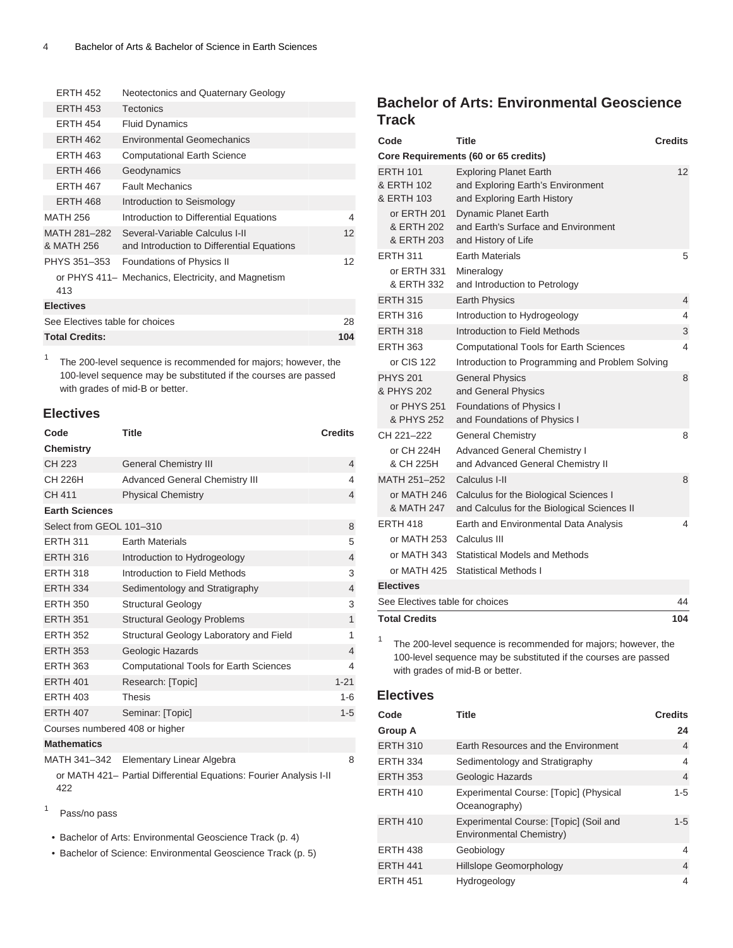| <b>FRTH 452</b>                 | Neotectonics and Quaternary Geology                                          |     |
|---------------------------------|------------------------------------------------------------------------------|-----|
| <b>ERTH 453</b>                 | <b>Tectonics</b>                                                             |     |
| <b>ERTH 454</b>                 | <b>Fluid Dynamics</b>                                                        |     |
| <b>ERTH 462</b>                 | <b>Environmental Geomechanics</b>                                            |     |
| <b>ERTH 463</b>                 | <b>Computational Earth Science</b>                                           |     |
| <b>ERTH 466</b>                 | Geodynamics                                                                  |     |
| <b>ERTH 467</b>                 | <b>Fault Mechanics</b>                                                       |     |
| <b>ERTH 468</b>                 | Introduction to Seismology                                                   |     |
| <b>MATH 256</b>                 | Introduction to Differential Equations                                       | 4   |
| MATH 281-282<br>& MATH 256      | Several-Variable Calculus I-II<br>and Introduction to Differential Equations | 12  |
| PHYS 351-353                    | Foundations of Physics II                                                    | 12  |
| 413                             | or PHYS 411– Mechanics, Electricity, and Magnetism                           |     |
| <b>Electives</b>                |                                                                              |     |
| See Electives table for choices |                                                                              | 28  |
| <b>Total Credits:</b>           |                                                                              | 104 |

1 The 200-level sequence is recommended for majors; however, the 100-level sequence may be substituted if the courses are passed with grades of mid-B or better.

#### **Electives**

| Code                           | <b>Title</b>                                  | <b>Credits</b> |
|--------------------------------|-----------------------------------------------|----------------|
| <b>Chemistry</b>               |                                               |                |
| CH 223                         | <b>General Chemistry III</b>                  | $\overline{4}$ |
| CH 226H                        | <b>Advanced General Chemistry III</b>         | 4              |
| CH 411                         | <b>Physical Chemistry</b>                     | $\overline{4}$ |
| <b>Earth Sciences</b>          |                                               |                |
| Select from GEOL 101-310       |                                               | 8              |
| <b>ERTH 311</b>                | <b>Earth Materials</b>                        | 5              |
| <b>ERTH 316</b>                | Introduction to Hydrogeology                  | $\overline{4}$ |
| <b>ERTH 318</b>                | Introduction to Field Methods                 | 3              |
| <b>ERTH 334</b>                | Sedimentology and Stratigraphy                | $\overline{4}$ |
| <b>ERTH 350</b>                | <b>Structural Geology</b>                     | 3              |
| <b>ERTH 351</b>                | <b>Structural Geology Problems</b>            | $\mathbf{1}$   |
| <b>ERTH 352</b>                | Structural Geology Laboratory and Field       | 1              |
| <b>ERTH 353</b>                | Geologic Hazards                              | $\overline{4}$ |
| <b>ERTH 363</b>                | <b>Computational Tools for Earth Sciences</b> | 4              |
| <b>ERTH 401</b>                | Research: [Topic]                             | $1 - 21$       |
| <b>ERTH 403</b>                | <b>Thesis</b>                                 | $1 - 6$        |
| <b>ERTH 407</b>                | Seminar: [Topic]                              | $1 - 5$        |
| Courses numbered 408 or higher |                                               |                |
| <b>Mathematics</b>             |                                               |                |
| MATH 341-342                   | Elementary Linear Algebra                     | 8              |

or MATH 421– Partial Differential Equations: Fourier Analysis I-II 422

- 1 Pass/no pass
- [Bachelor of Arts: Environmental Geoscience Track](#page-3-0) [\(p. 4](#page-3-0))

• [Bachelor of Science: Environmental Geoscience Track](#page-4-0) [\(p. 5\)](#page-4-0)

## <span id="page-3-0"></span>**Bachelor of Arts: Environmental Geoscience Track**

| Code                                                                                   | <b>Title</b>                                                                                                                                                                                   | <b>Credits</b> |
|----------------------------------------------------------------------------------------|------------------------------------------------------------------------------------------------------------------------------------------------------------------------------------------------|----------------|
|                                                                                        | Core Requirements (60 or 65 credits)                                                                                                                                                           |                |
| <b>ERTH 101</b><br>& ERTH 102<br>& ERTH 103<br>or ERTH 201<br>& ERTH 202<br>& ERTH 203 | <b>Exploring Planet Earth</b><br>and Exploring Earth's Environment<br>and Exploring Earth History<br><b>Dynamic Planet Earth</b><br>and Earth's Surface and Environment<br>and History of Life | 12             |
| <b>ERTH 311</b>                                                                        | <b>Earth Materials</b>                                                                                                                                                                         | 5              |
| or ERTH 331<br>& ERTH 332                                                              | Mineralogy<br>and Introduction to Petrology                                                                                                                                                    |                |
| <b>ERTH 315</b>                                                                        | Earth Physics                                                                                                                                                                                  | 4              |
| <b>ERTH 316</b>                                                                        | Introduction to Hydrogeology                                                                                                                                                                   | 4              |
| <b>ERTH 318</b>                                                                        | Introduction to Field Methods                                                                                                                                                                  | 3              |
| <b>ERTH 363</b>                                                                        | <b>Computational Tools for Earth Sciences</b>                                                                                                                                                  | 4              |
| or CIS 122                                                                             | Introduction to Programming and Problem Solving                                                                                                                                                |                |
| <b>PHYS 201</b><br>& PHYS 202<br>or PHYS 251                                           | <b>General Physics</b><br>and General Physics<br>Foundations of Physics I                                                                                                                      | 8              |
| & PHYS 252                                                                             | and Foundations of Physics I                                                                                                                                                                   |                |
| CH 221-222                                                                             | <b>General Chemistry</b>                                                                                                                                                                       | 8              |
| or CH 224H<br>& CH 225H                                                                | <b>Advanced General Chemistry I</b><br>and Advanced General Chemistry II                                                                                                                       |                |
| MATH 251-252                                                                           | Calculus I-II                                                                                                                                                                                  | 8              |
| or MATH 246<br>& MATH 247                                                              | Calculus for the Biological Sciences I<br>and Calculus for the Biological Sciences II                                                                                                          |                |
| <b>ERTH 418</b>                                                                        | Earth and Environmental Data Analysis                                                                                                                                                          | 4              |
| or MATH 253                                                                            | Calculus III                                                                                                                                                                                   |                |
| or MATH 343                                                                            | Statistical Models and Methods                                                                                                                                                                 |                |
| or MATH 425                                                                            | Statistical Methods I                                                                                                                                                                          |                |
| <b>Electives</b>                                                                       |                                                                                                                                                                                                |                |
| See Electives table for choices                                                        |                                                                                                                                                                                                | 44             |
| <b>Total Credits</b>                                                                   |                                                                                                                                                                                                | 104            |

The 200-level sequence is recommended for majors; however, the 100-level sequence may be substituted if the courses are passed with grades of mid-B or better.

#### **Electives**

1

| Code            | Title                                                              | <b>Credits</b> |
|-----------------|--------------------------------------------------------------------|----------------|
| Group A         |                                                                    | 24             |
| <b>ERTH 310</b> | Earth Resources and the Environment                                | 4              |
| <b>ERTH 334</b> | Sedimentology and Stratigraphy                                     | 4              |
| <b>ERTH 353</b> | Geologic Hazards                                                   | 4              |
| ERTH 410        | Experimental Course: [Topic] (Physical<br>Oceanography)            | $1 - 5$        |
| <b>ERTH 410</b> | Experimental Course: [Topic] (Soil and<br>Environmental Chemistry) | $1 - 5$        |
| <b>ERTH 438</b> | Geobiology                                                         | 4              |
| <b>ERTH 441</b> | <b>Hillslope Geomorphology</b>                                     | 4              |
| <b>ERTH 451</b> | Hydrogeology                                                       | 4              |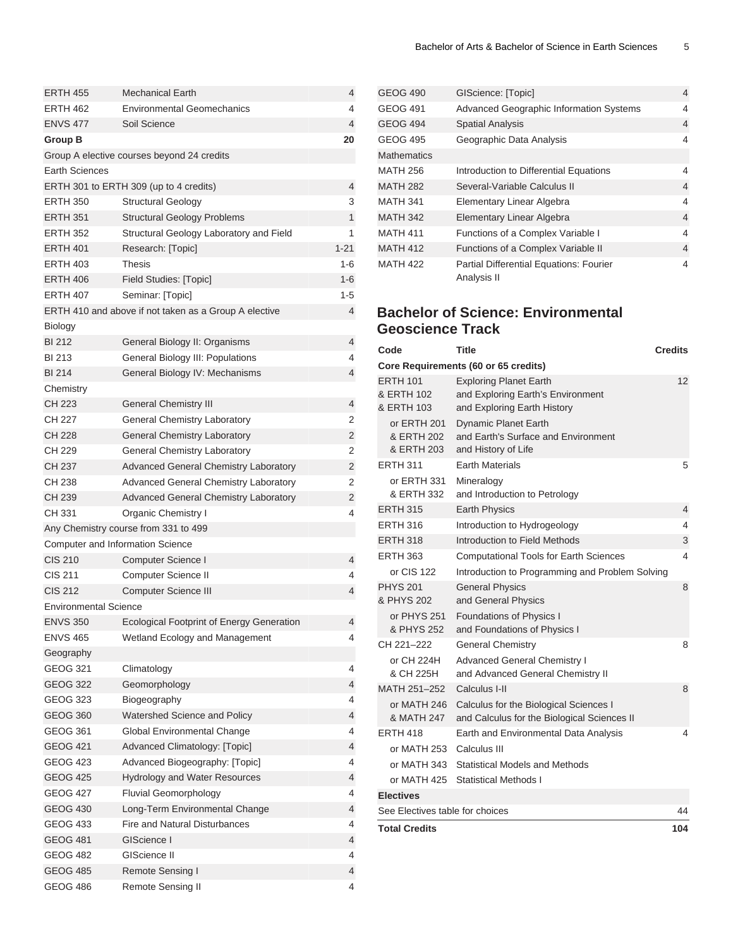| <b>ERTH 455</b>              | <b>Mechanical Earth</b>                               | 4        |
|------------------------------|-------------------------------------------------------|----------|
| <b>ERTH 462</b>              | <b>Environmental Geomechanics</b>                     | 4        |
| <b>ENVS 477</b>              | Soil Science                                          | 4        |
| Group B                      |                                                       | 20       |
|                              | Group A elective courses beyond 24 credits            |          |
| Earth Sciences               |                                                       |          |
|                              | ERTH 301 to ERTH 309 (up to 4 credits)                | 4        |
| <b>ERTH 350</b>              | <b>Structural Geology</b>                             | 3        |
| <b>ERTH 351</b>              | <b>Structural Geology Problems</b>                    | 1        |
| <b>ERTH 352</b>              | Structural Geology Laboratory and Field               | 1        |
| <b>ERTH 401</b>              | Research: [Topic]                                     | $1 - 21$ |
| <b>ERTH 403</b>              | <b>Thesis</b>                                         | 1-6      |
| <b>ERTH 406</b>              | Field Studies: [Topic]                                | $1 - 6$  |
| <b>ERTH 407</b>              | Seminar: [Topic]                                      | $1 - 5$  |
|                              | ERTH 410 and above if not taken as a Group A elective | 4        |
| Biology                      |                                                       |          |
| <b>BI212</b>                 | General Biology II: Organisms                         | 4        |
| <b>BI213</b>                 | General Biology III: Populations                      | 4        |
| <b>BI 214</b>                | General Biology IV: Mechanisms                        | 4        |
| Chemistry                    |                                                       |          |
| CH 223                       | <b>General Chemistry III</b>                          | 4        |
| CH 227                       | General Chemistry Laboratory                          | 2        |
| CH 228                       | General Chemistry Laboratory                          | 2        |
| CH 229                       | <b>General Chemistry Laboratory</b>                   | 2        |
| CH 237                       | <b>Advanced General Chemistry Laboratory</b>          | 2        |
| CH 238                       | <b>Advanced General Chemistry Laboratory</b>          | 2        |
| CH 239                       | <b>Advanced General Chemistry Laboratory</b>          | 2        |
| CH 331                       | Organic Chemistry I                                   | 4        |
|                              | Any Chemistry course from 331 to 499                  |          |
|                              | Computer and Information Science                      |          |
| <b>CIS 210</b>               | Computer Science I                                    | 4        |
| CIS 211                      | Computer Science II                                   | 4        |
| <b>CIS 212</b>               | <b>Computer Science III</b>                           | 4        |
| <b>Environmental Science</b> |                                                       |          |
| ENVS 350                     | Ecological Footprint of Energy Generation             | 4        |
| <b>ENVS 465</b>              | Wetland Ecology and Management                        | 4        |
| Geography                    |                                                       |          |
| <b>GEOG 321</b>              | Climatology                                           | 4        |
| GEOG 322                     | Geomorphology                                         | 4        |
| <b>GEOG 323</b>              | Biogeography                                          | 4        |
| <b>GEOG 360</b>              | Watershed Science and Policy                          | 4        |
| <b>GEOG 361</b>              | Global Environmental Change                           | 4        |
| <b>GEOG 421</b>              | <b>Advanced Climatology: [Topic]</b>                  | 4        |
| GEOG 423                     | Advanced Biogeography: [Topic]                        | 4        |
| GEOG 425                     | Hydrology and Water Resources                         | 4        |
| <b>GEOG 427</b>              | <b>Fluvial Geomorphology</b>                          | 4        |
| <b>GEOG 430</b>              | Long-Term Environmental Change                        | 4        |
| GEOG 433                     | <b>Fire and Natural Disturbances</b>                  | 4        |
| <b>GEOG 481</b>              | GIScience I                                           | 4        |
| <b>GEOG 482</b>              | GIScience II                                          | 4        |
| <b>GEOG 485</b>              | Remote Sensing I                                      | 4        |
| <b>GEOG 486</b>              | Remote Sensing II                                     | 4        |

| <b>GEOG 490</b>    | GIScience: [Topic]                                            | 4 |
|--------------------|---------------------------------------------------------------|---|
| <b>GEOG 491</b>    | <b>Advanced Geographic Information Systems</b>                | 4 |
| <b>GEOG 494</b>    | <b>Spatial Analysis</b>                                       | 4 |
| <b>GEOG 495</b>    | Geographic Data Analysis                                      | 4 |
| <b>Mathematics</b> |                                                               |   |
| <b>MATH 256</b>    | Introduction to Differential Equations                        | 4 |
| <b>MATH 282</b>    | Several-Variable Calculus II                                  | 4 |
| <b>MATH 341</b>    | Elementary Linear Algebra                                     | 4 |
| <b>MATH 342</b>    | Elementary Linear Algebra                                     | 4 |
| <b>MATH 411</b>    | Functions of a Complex Variable I                             | 4 |
| <b>MATH 412</b>    | Functions of a Complex Variable II                            | 4 |
| <b>MATH 422</b>    | <b>Partial Differential Equations: Fourier</b><br>Analysis II | 4 |

# <span id="page-4-0"></span>**Bachelor of Science: Environmental Geoscience Track**

| Code                                        | Title                                                                                             | <b>Credits</b> |
|---------------------------------------------|---------------------------------------------------------------------------------------------------|----------------|
|                                             | Core Requirements (60 or 65 credits)                                                              |                |
| <b>ERTH 101</b><br>& ERTH 102<br>& ERTH 103 | <b>Exploring Planet Earth</b><br>and Exploring Earth's Environment<br>and Exploring Earth History | 12             |
| or ERTH 201<br>& ERTH 202<br>& ERTH 203     | <b>Dynamic Planet Earth</b><br>and Earth's Surface and Environment<br>and History of Life         |                |
| <b>ERTH 311</b>                             | <b>Earth Materials</b>                                                                            | 5              |
| or ERTH 331<br>& ERTH 332                   | Mineralogy<br>and Introduction to Petrology                                                       |                |
| <b>ERTH 315</b>                             | <b>Earth Physics</b>                                                                              | 4              |
| <b>ERTH 316</b>                             | Introduction to Hydrogeology                                                                      | 4              |
| <b>ERTH 318</b>                             | Introduction to Field Methods                                                                     | 3              |
| <b>ERTH 363</b>                             | <b>Computational Tools for Earth Sciences</b>                                                     | 4              |
| or CIS 122                                  | Introduction to Programming and Problem Solving                                                   |                |
| <b>PHYS 201</b><br>& PHYS 202               | <b>General Physics</b><br>and General Physics                                                     | 8              |
| or PHYS 251<br>& PHYS 252                   | Foundations of Physics I<br>and Foundations of Physics I                                          |                |
| CH 221-222                                  | <b>General Chemistry</b>                                                                          | 8              |
| or CH 224H<br>& CH 225H                     | <b>Advanced General Chemistry I</b><br>and Advanced General Chemistry II                          |                |
| MATH 251-252                                | Calculus I-II                                                                                     | 8              |
| or MATH 246<br>& MATH 247                   | Calculus for the Biological Sciences I<br>and Calculus for the Biological Sciences II             |                |
| <b>FRTH 418</b>                             | Earth and Environmental Data Analysis                                                             | 4              |
| or MATH 253                                 | Calculus III                                                                                      |                |
| or MATH 343                                 | Statistical Models and Methods                                                                    |                |
| or MATH 425                                 | <b>Statistical Methods I</b>                                                                      |                |
| <b>Electives</b>                            |                                                                                                   |                |
| See Electives table for choices             |                                                                                                   | 44             |
| <b>Total Credits</b>                        |                                                                                                   | 104            |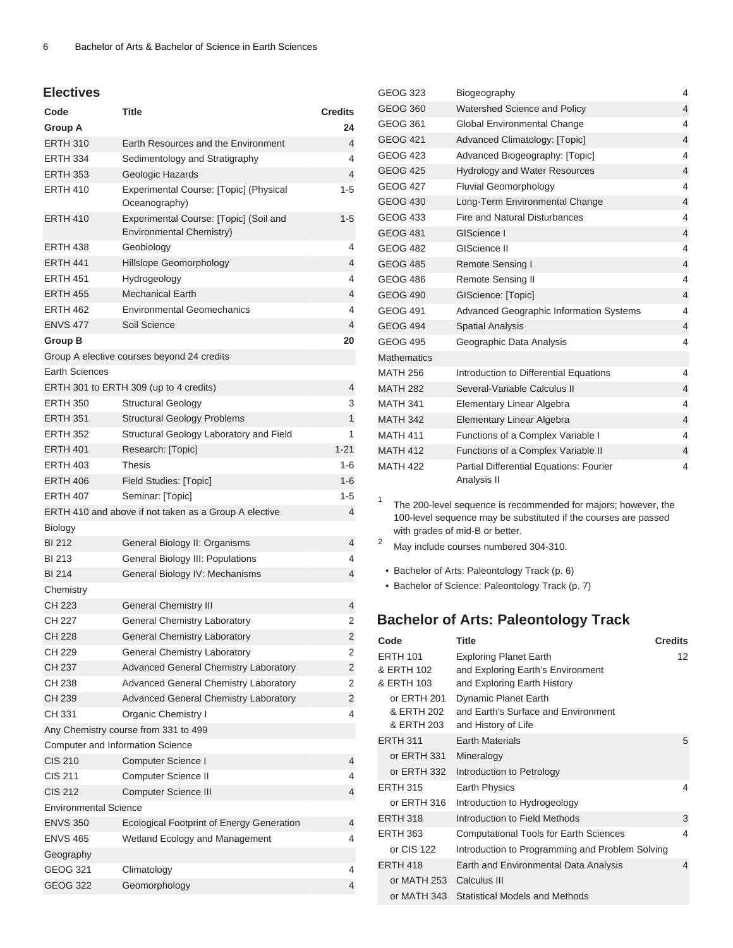#### **Electives**

| Code                             | <b>Title</b>                                                       | <b>Credits</b> |
|----------------------------------|--------------------------------------------------------------------|----------------|
| Group A                          |                                                                    | 24             |
| <b>ERTH 310</b>                  | Earth Resources and the Environment                                | $\overline{4}$ |
| <b>ERTH 334</b>                  | Sedimentology and Stratigraphy                                     | 4              |
| <b>ERTH 353</b>                  | Geologic Hazards                                                   | $\overline{4}$ |
| <b>ERTH 410</b>                  | Experimental Course: [Topic] (Physical<br>Oceanography)            | 1-5            |
| <b>ERTH 410</b>                  | Experimental Course: [Topic] (Soil and<br>Environmental Chemistry) | $1 - 5$        |
| <b>ERTH 438</b>                  | Geobiology                                                         | 4              |
| <b>ERTH 441</b>                  | Hillslope Geomorphology                                            | 4              |
| <b>ERTH 451</b>                  | Hydrogeology                                                       | 4              |
| <b>ERTH 455</b>                  | <b>Mechanical Earth</b>                                            | 4              |
| <b>ERTH 462</b>                  | <b>Environmental Geomechanics</b>                                  | 4              |
| <b>ENVS 477</b>                  | Soil Science                                                       | 4              |
| <b>Group B</b>                   |                                                                    | 20             |
|                                  | Group A elective courses beyond 24 credits                         |                |
| <b>Earth Sciences</b>            |                                                                    |                |
|                                  | ERTH 301 to ERTH 309 (up to 4 credits)                             | 4              |
| <b>ERTH 350</b>                  | <b>Structural Geology</b>                                          | 3              |
| <b>ERTH 351</b>                  | <b>Structural Geology Problems</b>                                 | 1              |
| <b>ERTH 352</b>                  | Structural Geology Laboratory and Field                            | 1              |
| <b>ERTH 401</b>                  | Research: [Topic]                                                  | $1 - 21$       |
| <b>ERTH 403</b>                  | <b>Thesis</b>                                                      | $1-6$          |
| <b>ERTH 406</b>                  | Field Studies: [Topic]                                             | $1 - 6$        |
| <b>ERTH 407</b>                  | Seminar: [Topic]                                                   | 1-5            |
|                                  | ERTH 410 and above if not taken as a Group A elective              | 4              |
| Biology                          |                                                                    |                |
| <b>BI 212</b>                    | General Biology II: Organisms                                      | 4              |
| BI 213                           | General Biology III: Populations                                   | 4              |
| <b>BI214</b>                     | General Biology IV: Mechanisms                                     | 4              |
| Chemistry                        |                                                                    |                |
| CH 223                           | <b>General Chemistry III</b>                                       | 4              |
| CH 227                           | <b>General Chemistry Laboratory</b>                                | 2              |
| CH 228                           | <b>General Chemistry Laboratory</b>                                | 2              |
| CH 229                           | General Chemistry Laboratory                                       | 2              |
| CH 237                           | Advanced General Chemistry Laboratory                              | 2              |
| CH 238                           | Advanced General Chemistry Laboratory                              | 2              |
| CH 239                           | <b>Advanced General Chemistry Laboratory</b>                       | 2              |
| CH 331                           | Organic Chemistry I                                                | 4              |
|                                  | Any Chemistry course from 331 to 499                               |                |
| Computer and Information Science |                                                                    |                |
| <b>CIS 210</b>                   | Computer Science I                                                 | 4              |
| CIS 211                          | Computer Science II                                                | 4              |
| <b>CIS 212</b>                   | <b>Computer Science III</b>                                        | 4              |
| <b>Environmental Science</b>     |                                                                    |                |
| <b>ENVS 350</b>                  | <b>Ecological Footprint of Energy Generation</b>                   | 4              |
| <b>ENVS 465</b>                  | Wetland Ecology and Management                                     | 4              |
| Geography                        |                                                                    |                |
| GEOG 321                         | Climatology                                                        | 4              |
| <b>GEOG 322</b>                  | Geomorphology                                                      | 4              |

| <b>GEOG 323</b>    | Biogeography                                           | 4                        |
|--------------------|--------------------------------------------------------|--------------------------|
| <b>GEOG 360</b>    | Watershed Science and Policy                           | 4                        |
| <b>GEOG 361</b>    | Global Environmental Change                            | $\overline{\mathbf{4}}$  |
| <b>GEOG 421</b>    | Advanced Climatology: [Topic]                          | $\overline{4}$           |
| <b>GEOG 423</b>    | Advanced Biogeography: [Topic]                         | 4                        |
| <b>GEOG 425</b>    | <b>Hydrology and Water Resources</b>                   | 4                        |
| <b>GEOG 427</b>    | <b>Fluvial Geomorphology</b>                           | 4                        |
| <b>GEOG 430</b>    | Long-Term Environmental Change                         | 4                        |
| <b>GEOG 433</b>    | Fire and Natural Disturbances                          | 4                        |
| <b>GEOG 481</b>    | GIScience I                                            | 4                        |
| GEOG 482           | <b>GIScience II</b>                                    | 4                        |
| <b>GEOG 485</b>    | Remote Sensing I                                       | $\overline{4}$           |
| <b>GEOG 486</b>    | Remote Sensing II                                      | 4                        |
| <b>GEOG 490</b>    | GIScience: [Topic]                                     | $\overline{4}$           |
| <b>GEOG 491</b>    | <b>Advanced Geographic Information Systems</b>         | 4                        |
| <b>GEOG 494</b>    | <b>Spatial Analysis</b>                                | $\overline{4}$           |
| <b>GEOG 495</b>    | Geographic Data Analysis                               | 4                        |
| <b>Mathematics</b> |                                                        |                          |
| <b>MATH 256</b>    | Introduction to Differential Equations                 | 4                        |
| <b>MATH 282</b>    | Several-Variable Calculus II                           | 4                        |
| <b>MATH 341</b>    | Elementary Linear Algebra                              | 4                        |
| <b>MATH 342</b>    | Elementary Linear Algebra                              | 4                        |
| <b>MATH 411</b>    | Functions of a Complex Variable I                      | 4                        |
| <b>MATH 412</b>    | Functions of a Complex Variable II                     | 4                        |
| <b>MATH 422</b>    | Partial Differential Equations: Fourier<br>Analysis II | $\overline{\mathcal{L}}$ |

1 The 200-level sequence is recommended for majors; however, the 100-level sequence may be substituted if the courses are passed with grades of mid-B or better.

- <sup>2</sup> May include courses numbered 304-310.
- [Bachelor of Arts: Paleontology Track](#page-5-0) ([p. 6](#page-5-0))
- <span id="page-5-0"></span>• [Bachelor of Science: Paleontology Track](#page-6-0) ([p. 7](#page-6-0))

## **Bachelor of Arts: Paleontology Track**

| Code                                        | <b>Title</b>                                                                                      | <b>Credits</b> |
|---------------------------------------------|---------------------------------------------------------------------------------------------------|----------------|
| <b>ERTH 101</b><br>& ERTH 102<br>& ERTH 103 | <b>Exploring Planet Earth</b><br>and Exploring Earth's Environment<br>and Exploring Earth History | 12             |
| or ERTH 201<br>& ERTH 202<br>& ERTH 203     | Dynamic Planet Earth<br>and Earth's Surface and Environment<br>and History of Life                |                |
| <b>ERTH 311</b>                             | <b>Earth Materials</b>                                                                            | 5              |
| or ERTH 331                                 | Mineralogy                                                                                        |                |
| or ERTH 332                                 | Introduction to Petrology                                                                         |                |
| <b>ERTH 315</b>                             | <b>Earth Physics</b>                                                                              | 4              |
| or ERTH 316                                 | Introduction to Hydrogeology                                                                      |                |
| <b>ERTH 318</b>                             | Introduction to Field Methods                                                                     | 3              |
| <b>ERTH 363</b>                             | <b>Computational Tools for Earth Sciences</b>                                                     | 4              |
| or CIS 122                                  | Introduction to Programming and Problem Solving                                                   |                |
| <b>ERTH 418</b>                             | Earth and Environmental Data Analysis                                                             | $\overline{4}$ |
| or MATH 253                                 | Calculus III                                                                                      |                |
| or MATH 343                                 | <b>Statistical Models and Methods</b>                                                             |                |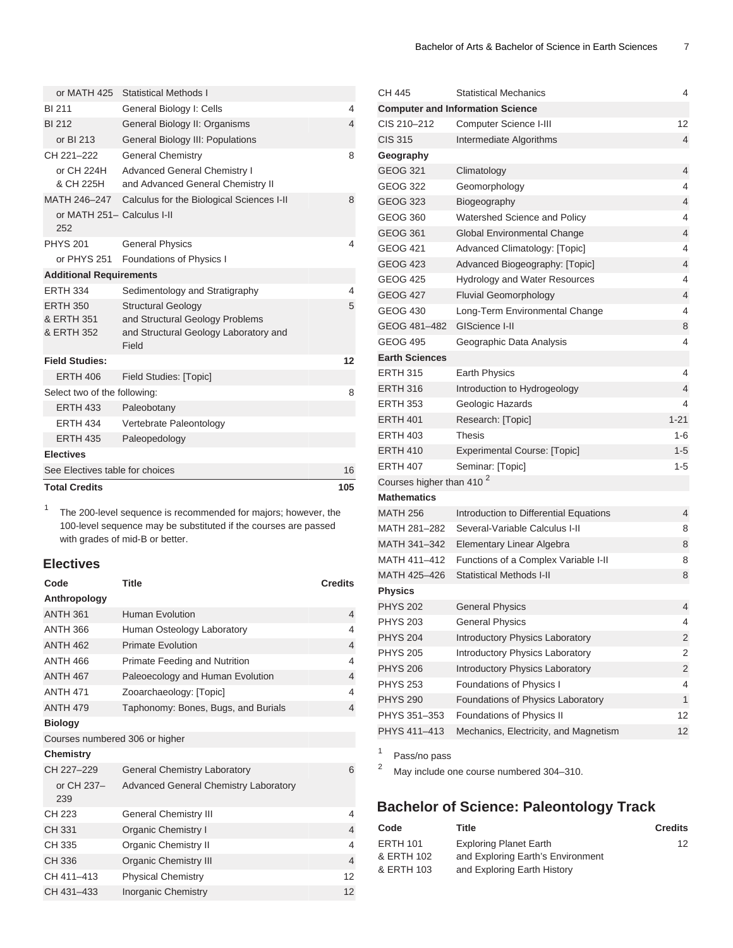| <b>Total Credits</b>                        |                                                                                                                | 105 |
|---------------------------------------------|----------------------------------------------------------------------------------------------------------------|-----|
| See Electives table for choices             |                                                                                                                | 16  |
| <b>Electives</b>                            |                                                                                                                |     |
| <b>ERTH 435</b>                             | Paleopedology                                                                                                  |     |
| <b>ERTH 434</b>                             | Vertebrate Paleontology                                                                                        |     |
| <b>ERTH 433</b>                             | Paleobotany                                                                                                    |     |
| Select two of the following:                |                                                                                                                | 8   |
| <b>ERTH 406</b>                             | <b>Field Studies: [Topic]</b>                                                                                  |     |
| <b>Field Studies:</b>                       |                                                                                                                | 12  |
| <b>ERTH 350</b><br>& ERTH 351<br>& ERTH 352 | <b>Structural Geology</b><br>and Structural Geology Problems<br>and Structural Geology Laboratory and<br>Field | 5   |
| <b>ERTH 334</b>                             | Sedimentology and Stratigraphy                                                                                 | 4   |
| <b>Additional Requirements</b>              |                                                                                                                |     |
| or PHYS 251                                 | Foundations of Physics I                                                                                       |     |
| <b>PHYS 201</b>                             | <b>General Physics</b>                                                                                         | 4   |
| or MATH 251- Calculus I-II<br>252           |                                                                                                                |     |
| MATH 246-247                                | Calculus for the Biological Sciences I-II                                                                      | 8   |
| or CH 224H<br>& CH 225H                     | <b>Advanced General Chemistry I</b><br>and Advanced General Chemistry II                                       |     |
| CH 221-222                                  | <b>General Chemistry</b>                                                                                       | 8   |
| or BI 213                                   | General Biology III: Populations                                                                               |     |
| <b>BI 212</b>                               | General Biology II: Organisms                                                                                  | 4   |
| <b>BI 211</b>                               | General Biology I: Cells                                                                                       | 4   |
| or MATH 425                                 | Statistical Methods I                                                                                          |     |

1 The 200-level sequence is recommended for majors; however, the 100-level sequence may be substituted if the courses are passed with grades of mid-B or better.

### **Electives**

| Code              | <b>Title</b>                                 | <b>Credits</b> |
|-------------------|----------------------------------------------|----------------|
| Anthropology      |                                              |                |
| <b>ANTH 361</b>   | Human Evolution                              | 4              |
| <b>ANTH 366</b>   | Human Osteology Laboratory                   | 4              |
| <b>ANTH 462</b>   | <b>Primate Evolution</b>                     | $\overline{4}$ |
| <b>ANTH 466</b>   | Primate Feeding and Nutrition                | 4              |
| <b>ANTH 467</b>   | Paleoecology and Human Evolution             | $\overline{4}$ |
| <b>ANTH 471</b>   | Zooarchaeology: [Topic]                      | 4              |
| <b>ANTH 479</b>   | Taphonomy: Bones, Bugs, and Burials          | $\overline{4}$ |
| <b>Biology</b>    |                                              |                |
|                   | Courses numbered 306 or higher               |                |
| <b>Chemistry</b>  |                                              |                |
| CH 227-229        | <b>General Chemistry Laboratory</b>          | 6              |
| or CH 237-<br>239 | <b>Advanced General Chemistry Laboratory</b> |                |
| CH 223            | <b>General Chemistry III</b>                 | 4              |
| CH 331            | <b>Organic Chemistry I</b>                   | $\overline{4}$ |
| CH 335            | <b>Organic Chemistry II</b>                  | 4              |
| CH 336            | Organic Chemistry III                        | $\overline{4}$ |
| CH 411-413        | <b>Physical Chemistry</b>                    | 12             |
| CH 431-433        | <b>Inorganic Chemistry</b>                   | 12             |

| CH 445                               | <b>Statistical Mechanics</b>            | 4        |
|--------------------------------------|-----------------------------------------|----------|
|                                      | <b>Computer and Information Science</b> |          |
| CIS 210-212                          | Computer Science I-III                  | 12       |
| <b>CIS 315</b>                       | Intermediate Algorithms                 | 4        |
| Geography                            |                                         |          |
| <b>GEOG 321</b>                      | Climatology                             | 4        |
| <b>GEOG 322</b>                      | Geomorphology                           | 4        |
| <b>GEOG 323</b>                      | Biogeography                            | 4        |
| GEOG 360                             | Watershed Science and Policy            | 4        |
| <b>GEOG 361</b>                      | Global Environmental Change             | 4        |
| GEOG 421                             | Advanced Climatology: [Topic]           | 4        |
| <b>GEOG 423</b>                      | Advanced Biogeography: [Topic]          | 4        |
| <b>GEOG 425</b>                      | <b>Hydrology and Water Resources</b>    | 4        |
| <b>GEOG 427</b>                      | <b>Fluvial Geomorphology</b>            | 4        |
| GEOG 430                             | Long-Term Environmental Change          | 4        |
| GEOG 481-482                         | GIScience I-II                          | 8        |
| <b>GEOG 495</b>                      | Geographic Data Analysis                | 4        |
| <b>Earth Sciences</b>                |                                         |          |
| <b>ERTH 315</b>                      | Earth Physics                           | 4        |
| <b>ERTH 316</b>                      | Introduction to Hydrogeology            | 4        |
| <b>ERTH 353</b>                      | Geologic Hazards                        | 4        |
| <b>ERTH 401</b>                      | Research: [Topic]                       | $1 - 21$ |
| <b>ERTH 403</b>                      | Thesis                                  | 1-6      |
| <b>ERTH 410</b>                      | <b>Experimental Course: [Topic]</b>     | $1 - 5$  |
| <b>ERTH 407</b>                      | Seminar: [Topic]                        | $1 - 5$  |
| Courses higher than 410 <sup>2</sup> |                                         |          |
| <b>Mathematics</b>                   |                                         |          |
| <b>MATH 256</b>                      | Introduction to Differential Equations  | 4        |
| MATH 281–282                         | Several-Variable Calculus I-II          | 8        |
| MATH 341-342                         | Elementary Linear Algebra               | 8        |
| MATH 411-412                         | Functions of a Complex Variable I-II    | 8        |
| MATH 425-426                         | <b>Statistical Methods I-II</b>         | 8        |
| <b>Physics</b>                       |                                         |          |
| <b>PHYS 202</b>                      | <b>General Physics</b>                  | 4        |
| <b>PHYS 203</b>                      | <b>General Physics</b>                  | 4        |
| <b>PHYS 204</b>                      | <b>Introductory Physics Laboratory</b>  | 2        |
| <b>PHYS 205</b>                      | Introductory Physics Laboratory         | 2        |
| <b>PHYS 206</b>                      | Introductory Physics Laboratory         | 2        |
| <b>PHYS 253</b>                      | Foundations of Physics I                | 4        |
| <b>PHYS 290</b>                      | Foundations of Physics Laboratory       | 1        |
| PHYS 351-353                         | Foundations of Physics II               | 12       |
| PHYS 411-413                         | Mechanics, Electricity, and Magnetism   | 12       |
|                                      |                                         |          |

1 Pass/no pass

<span id="page-6-0"></span><sup>2</sup> May include one course numbered 304–310.

# **Bachelor of Science: Paleontology Track**

| Title                         | <b>Credits</b>                    |
|-------------------------------|-----------------------------------|
| <b>Exploring Planet Earth</b> | 12                                |
|                               |                                   |
| and Exploring Earth History   |                                   |
|                               | and Exploring Earth's Environment |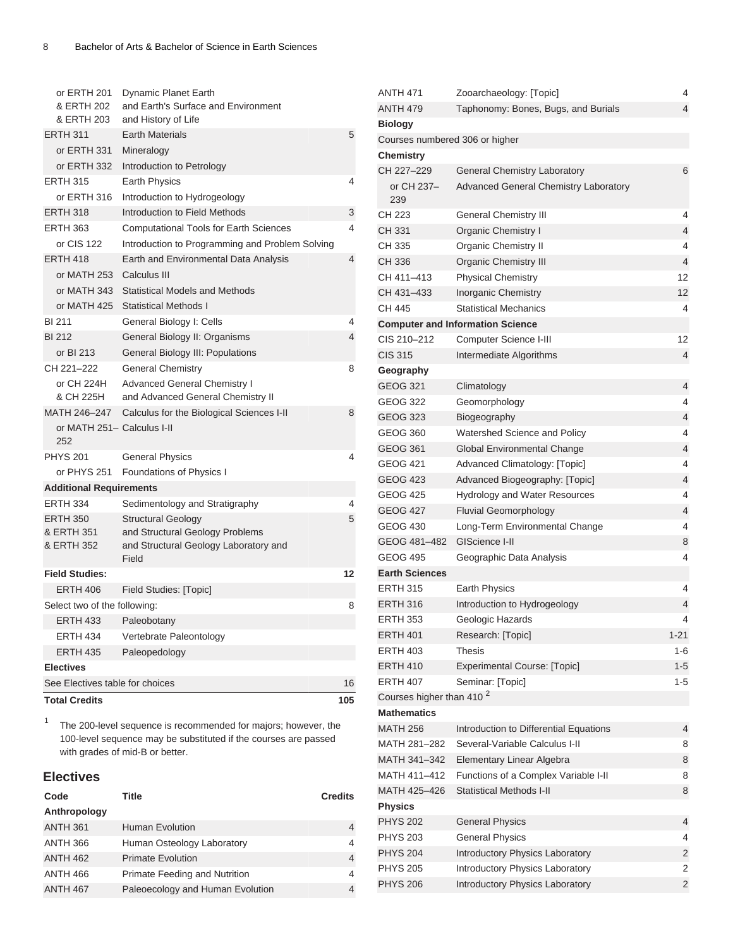| or ERTH 201<br>& ERTH 202<br>& ERTH 203 | Dynamic Planet Earth<br>and Earth's Surface and Environment<br>and History of Life |     |
|-----------------------------------------|------------------------------------------------------------------------------------|-----|
| <b>ERTH 311</b>                         | <b>Earth Materials</b>                                                             | 5   |
| or ERTH 331                             | Mineralogy                                                                         |     |
| or ERTH 332                             | Introduction to Petrology                                                          |     |
| <b>ERTH 315</b>                         | <b>Earth Physics</b>                                                               | 4   |
| or ERTH 316                             | Introduction to Hydrogeology                                                       |     |
| <b>ERTH 318</b>                         | Introduction to Field Methods                                                      | 3   |
| <b>ERTH 363</b>                         | <b>Computational Tools for Earth Sciences</b>                                      | 4   |
| or CIS 122                              | Introduction to Programming and Problem Solving                                    |     |
| <b>ERTH 418</b>                         | Earth and Environmental Data Analysis                                              | 4   |
| or MATH 253                             | Calculus III                                                                       |     |
| or MATH 343                             | <b>Statistical Models and Methods</b>                                              |     |
| or MATH 425                             | <b>Statistical Methods I</b>                                                       |     |
| <b>BI 211</b>                           | General Biology I: Cells                                                           | 4   |
| <b>BI212</b>                            | General Biology II: Organisms                                                      | 4   |
| or BI 213                               | General Biology III: Populations                                                   |     |
| CH 221-222                              | <b>General Chemistry</b>                                                           | 8   |
| or CH 224H                              | <b>Advanced General Chemistry I</b>                                                |     |
| & CH 225H                               | and Advanced General Chemistry II                                                  |     |
| MATH 246-247                            | Calculus for the Biological Sciences I-II                                          | 8   |
| or MATH 251- Calculus I-II<br>252       |                                                                                    |     |
| <b>PHYS 201</b>                         | <b>General Physics</b>                                                             | 4   |
| or PHYS 251                             | Foundations of Physics I                                                           |     |
| <b>Additional Requirements</b>          |                                                                                    |     |
| <b>ERTH 334</b>                         | Sedimentology and Stratigraphy                                                     | 4   |
| <b>ERTH 350</b>                         | <b>Structural Geology</b>                                                          | 5   |
| & ERTH 351                              | and Structural Geology Problems                                                    |     |
| & ERTH 352                              | and Structural Geology Laboratory and                                              |     |
|                                         | Field                                                                              |     |
| <b>Field Studies:</b>                   |                                                                                    | 12  |
| <b>ERTH 406</b>                         | Field Studies: [Topic]                                                             |     |
| Select two of the following:            |                                                                                    | 8   |
| <b>ERTH 433</b>                         | Paleobotany                                                                        |     |
| <b>ERTH 434</b>                         | Vertebrate Paleontology                                                            |     |
| <b>ERTH 435</b>                         | Paleopedology                                                                      |     |
| <b>Electives</b>                        |                                                                                    |     |
| See Electives table for choices         |                                                                                    | 16  |
| <b>Total Credits</b>                    |                                                                                    | 105 |

<sup>1</sup> The 200-level sequence is recommended for majors; however, the 100-level sequence may be substituted if the courses are passed with grades of mid-B or better.

## **Electives**

| Code            | <b>Title</b>                         | <b>Credits</b> |
|-----------------|--------------------------------------|----------------|
| Anthropology    |                                      |                |
| <b>ANTH 361</b> | Human Evolution                      | 4              |
| <b>ANTH 366</b> | Human Osteology Laboratory           | 4              |
| <b>ANTH 462</b> | <b>Primate Evolution</b>             | 4              |
| <b>ANTH 466</b> | <b>Primate Feeding and Nutrition</b> | 4              |
| <b>ANTH 467</b> | Paleoecology and Human Evolution     | 4              |

| <b>ANTH 471</b>                      | Zooarchaeology: [Topic]                      | 4        |
|--------------------------------------|----------------------------------------------|----------|
| <b>ANTH 479</b>                      | Taphonomy: Bones, Bugs, and Burials          | 4        |
| <b>Biology</b>                       |                                              |          |
| Courses numbered 306 or higher       |                                              |          |
| Chemistry                            |                                              |          |
| CH 227-229                           | General Chemistry Laboratory                 | 6        |
| or CH 237–<br>239                    | <b>Advanced General Chemistry Laboratory</b> |          |
| CH 223                               | <b>General Chemistry III</b>                 | 4        |
| CH 331                               | <b>Organic Chemistry I</b>                   | 4        |
| CH 335                               | <b>Organic Chemistry II</b>                  | 4        |
| CH 336                               | <b>Organic Chemistry III</b>                 | 4        |
| CH 411-413                           | <b>Physical Chemistry</b>                    | 12       |
| CH 431-433                           | Inorganic Chemistry                          | 12       |
| CH 445                               | <b>Statistical Mechanics</b>                 | 4        |
|                                      | <b>Computer and Information Science</b>      |          |
| CIS 210-212                          | Computer Science I-III                       | 12       |
| <b>CIS 315</b>                       | Intermediate Algorithms                      | 4        |
| Geography                            |                                              |          |
| GEOG 321                             | Climatology                                  | 4        |
| <b>GEOG 322</b>                      | Geomorphology                                | 4        |
| GEOG 323                             | Biogeography                                 | 4        |
| <b>GEOG 360</b>                      | Watershed Science and Policy                 | 4        |
| <b>GEOG 361</b>                      | Global Environmental Change                  | 4        |
| GEOG 421                             | Advanced Climatology: [Topic]                | 4        |
| <b>GEOG 423</b>                      | Advanced Biogeography: [Topic]               | 4        |
| <b>GEOG 425</b>                      | <b>Hydrology and Water Resources</b>         | 4        |
| <b>GEOG 427</b>                      | Fluvial Geomorphology                        | 4        |
| <b>GEOG 430</b>                      | Long-Term Environmental Change               | 4        |
| GEOG 481-482                         | GIScience I-II                               | 8        |
| <b>GEOG 495</b>                      | Geographic Data Analysis                     | 4        |
| <b>Earth Sciences</b>                |                                              |          |
| <b>ERTH 315</b>                      | <b>Earth Physics</b>                         | 4        |
| <b>ERTH 316</b>                      | Introduction to Hydrogeology                 | 4        |
| <b>ERTH 353</b>                      | Geologic Hazards                             | 4        |
| <b>ERTH 401</b>                      | Research: [Topic]                            | $1 - 21$ |
| ERTH 403                             | Thesis                                       | $1 - 6$  |
| <b>ERTH 410</b>                      | Experimental Course: [Topic]                 | $1 - 5$  |
| <b>ERTH 407</b>                      | Seminar: [Topic]                             | $1 - 5$  |
| Courses higher than 410 <sup>2</sup> |                                              |          |
| <b>Mathematics</b>                   |                                              |          |
| <b>MATH 256</b>                      | Introduction to Differential Equations       | 4        |
| MATH 281-282                         | Several-Variable Calculus I-II               | 8        |
| MATH 341-342                         | Elementary Linear Algebra                    | 8        |
| MATH 411-412                         | Functions of a Complex Variable I-II         | 8        |
| MATH 425–426                         | <b>Statistical Methods I-II</b>              | 8        |
| <b>Physics</b>                       |                                              |          |
| <b>PHYS 202</b>                      | <b>General Physics</b>                       | 4        |
| <b>PHYS 203</b>                      | <b>General Physics</b>                       | 4        |
| <b>PHYS 204</b>                      | Introductory Physics Laboratory              | 2        |
| <b>PHYS 205</b>                      | Introductory Physics Laboratory              | 2        |
| <b>PHYS 206</b>                      | Introductory Physics Laboratory              | 2        |
|                                      |                                              |          |